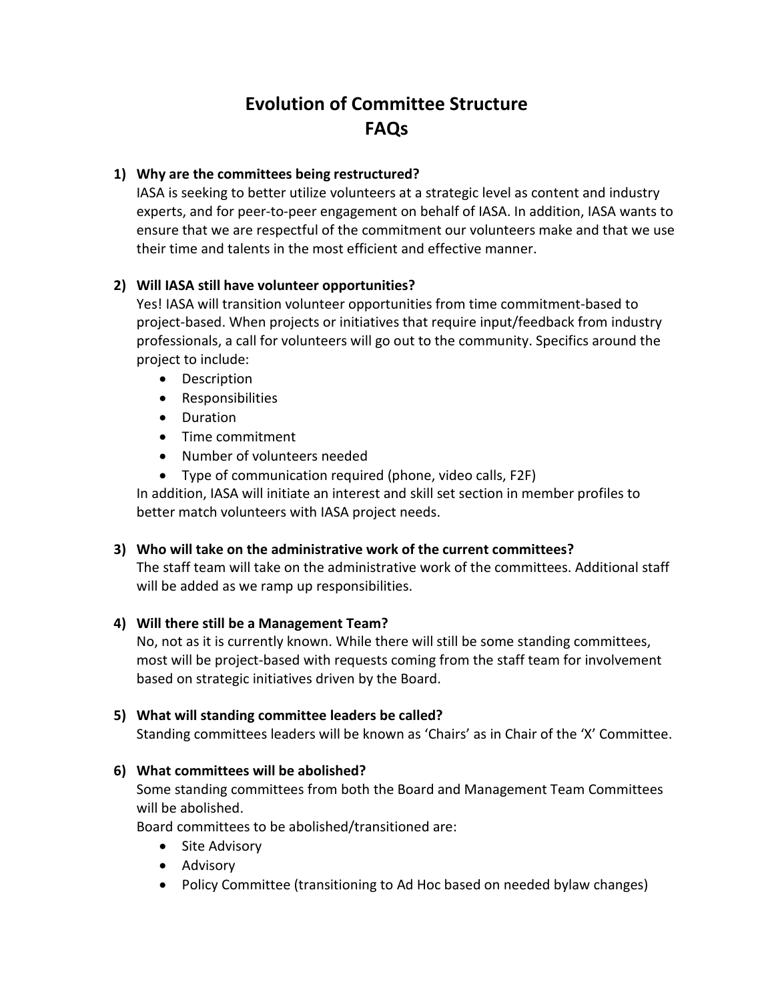# **Evolution of Committee Structure FAQs**

#### **1) Why are the committees being restructured?**

IASA is seeking to better utilize volunteers at a strategic level as content and industry experts, and for peer-to-peer engagement on behalf of IASA. In addition, IASA wants to ensure that we are respectful of the commitment our volunteers make and that we use their time and talents in the most efficient and effective manner.

#### **2) Will IASA still have volunteer opportunities?**

Yes! IASA will transition volunteer opportunities from time commitment-based to project-based. When projects or initiatives that require input/feedback from industry professionals, a call for volunteers will go out to the community. Specifics around the project to include:

- Description
- Responsibilities
- Duration
- Time commitment
- Number of volunteers needed
- Type of communication required (phone, video calls, F2F)

In addition, IASA will initiate an interest and skill set section in member profiles to better match volunteers with IASA project needs.

# **3) Who will take on the administrative work of the current committees?**

The staff team will take on the administrative work of the committees. Additional staff will be added as we ramp up responsibilities.

#### **4) Will there still be a Management Team?**

No, not as it is currently known. While there will still be some standing committees, most will be project-based with requests coming from the staff team for involvement based on strategic initiatives driven by the Board.

# **5) What will standing committee leaders be called?**

Standing committees leaders will be known as 'Chairs' as in Chair of the 'X' Committee.

# **6) What committees will be abolished?**

Some standing committees from both the Board and Management Team Committees will be abolished.

Board committees to be abolished/transitioned are:

- Site Advisory
- Advisory
- Policy Committee (transitioning to Ad Hoc based on needed bylaw changes)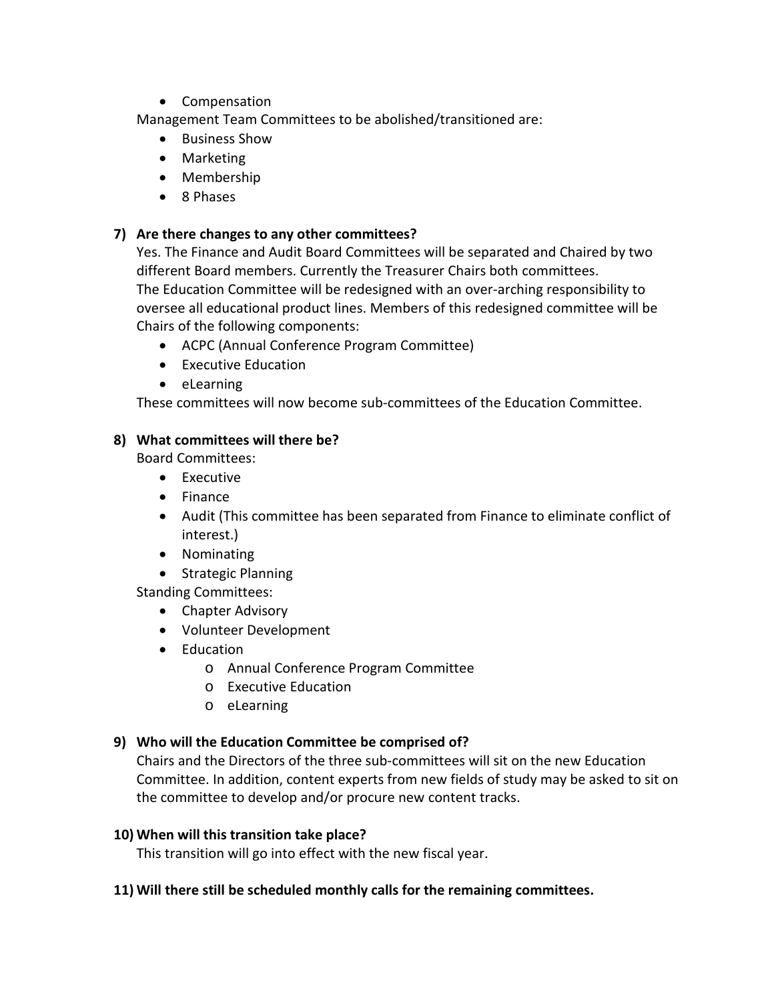• Compensation

Management Team Committees to be abolished/transitioned are:

- Business Show
- Marketing
- Membership
- 8 Phases

# **7) Are there changes to any other committees?**

Yes. The Finance and Audit Board Committees will be separated and Chaired by two different Board members. Currently the Treasurer Chairs both committees. The Education Committee will be redesigned with an over-arching responsibility to oversee all educational product lines. Members of this redesigned committee will be Chairs of the following components:

- ACPC (Annual Conference Program Committee)
- Executive Education
- eLearning

These committees will now become sub-committees of the Education Committee.

# **8) What committees will there be?**

Board Committees:

- Executive
- Finance
- Audit (This committee has been separated from Finance to eliminate conflict of interest.)
- Nominating
- Strategic Planning

Standing Committees:

- Chapter Advisory
- Volunteer Development
- Education
	- o Annual Conference Program Committee
	- o Executive Education
	- o eLearning

# **9) Who will the Education Committee be comprised of?**

Chairs and the Directors of the three sub-committees will sit on the new Education Committee. In addition, content experts from new fields of study may be asked to sit on the committee to develop and/or procure new content tracks.

# **10) When will this transition take place?**

This transition will go into effect with the new fiscal year.

# **11) Will there still be scheduled monthly calls for the remaining committees.**